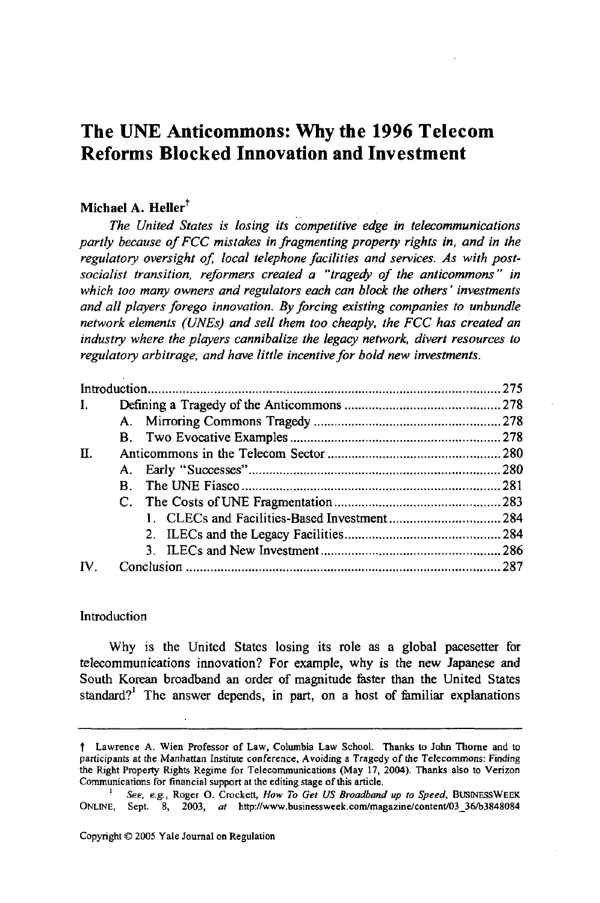# **The UNE Anticommons: Why the 1996 Telecom Reforms Blocked Innovation and Investment**

# Michael A. Heller<sup>†</sup>

*The United States is losing its competitive edge in telecommunications partly because of FCC mistakes in fragmenting property rights in, and in the* regulatory oversight of, local telephone facilities and services. As with post*socialist transition, reformers created a "tragedy of the anticommons" in which too many owners and regulators each can block the others' investments and all players forego innovation. By forcing existing companies to unbundle network elements (UNEs) and sell them too cheaply, the FCC has created an industry where the players cannibalize the legacy network, divert resources to regulatory arbitrage, and have little incentive for bold new investments.*

| Introduction |    |  |
|--------------|----|--|
|              |    |  |
|              |    |  |
|              |    |  |
| П.           |    |  |
|              |    |  |
|              | B. |  |
|              |    |  |
|              |    |  |
|              |    |  |
|              |    |  |
| IV           |    |  |

## Introduction

Why is the United States losing its role as a global pacesetter for telecommunications innovation? For example, why is the new Japanese and South Korean broadband an order of magnitude faster than the United States standard?<sup>1</sup> The answer depends, in part, on a host of familiar explanations

t Lawrence A. Wien Professor of Law, Columbia Law School. Thanks to John Thorne and to participants at the Manhattan Institute conference, Avoiding a Tragedy of the Telecommons: Finding the Right Property Rights Regime for Telecommunications (May 17, 2004). Thanks also to Verizon Communications for financial support at the editing stage of this article.

*I See, e.g.,* Roger **0.** Crockett, *How To Get US Broadband up to Speed,* BUSINESSWEEK ONLINE, Sept. 8, 2003, at http://www.businessweek.com/magazine/content/03\_36/b3848084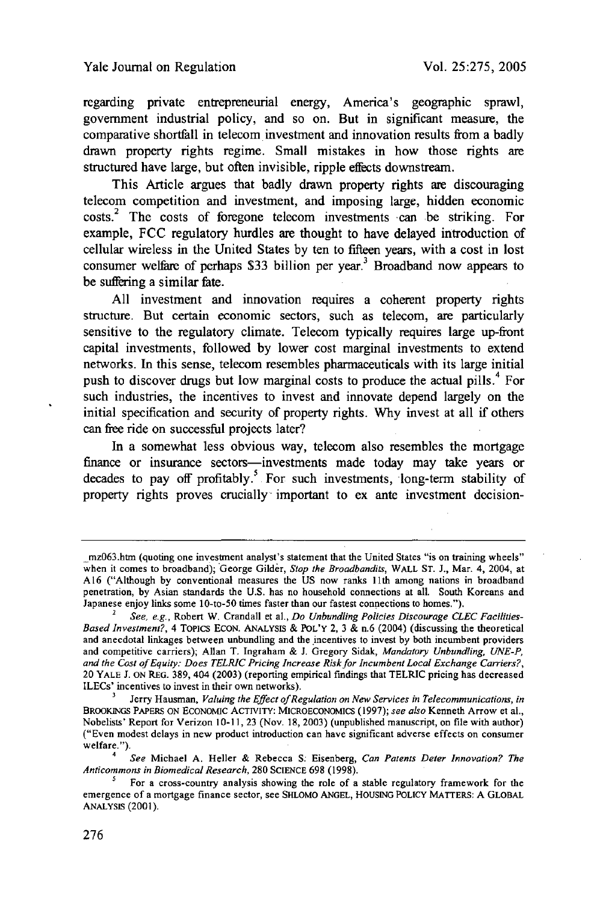regarding private entrepreneurial energy, America's geographic sprawl, government industrial policy, and so on. But in significant measure, the comparative shortfall in telecom investment and innovation results from a badly drawn property rights regime. Small mistakes in how those rights are structured have large, but often invisible, ripple effects downstream.

This Article argues that badly drawn property rights are discouraging telecom competition and investment, and imposing large, hidden economic costs.<sup>2</sup> The costs of foregone telecom investments can be striking. For example, FCC regulatory hurdles are thought to have delayed introduction of cellular wireless in the United States by ten to fifteen years, with a cost in lost consumer welfare of perhaps \$33 billion per year.<sup>3</sup> Broadband now appears to be suffering a similar fate.

All investment and innovation requires a coherent property rights structure. But certain economic sectors, such as telecom, are particularly sensitive to the regulatory climate. Telecom typically requires large up-front capital investments, followed by lower cost marginal investments to extend networks. In this sense, telecom resembles pharmaceuticals with its large initial push to discover drugs but low marginal costs to produce the actual pills.<sup>4</sup> For such industries, the incentives to invest and innovate depend largely on the initial specification and security of property rights. Why invest at all if others can free ride on successful projects later?

In a somewhat less obvious way, telecom also resembles the mortgage finance or insurance sectors-investments made today may take years or decades to pay off profitably.<sup>5</sup> For such investments, long-term stability of property rights proves crucially important to ex ante investment decision-

mz063.htm (quoting one investment analyst's statement that the United States "is on training wheels" when it comes to broadband); George Gilder, *Stop the Broadbandits,* WALL ST. J., Mar. 4, 2004, at A16 ("Although by conventional measures the US now ranks 11th among nations in broadband penetration, by Asian standards the U.S. has no household connections at all. South Koreans and Japanese enjoy links some 10-to-50 times faster than our fastest connections to homes.").

*<sup>2</sup> See, e.g.,* Robert W. Crandall et al., *Do Unbundling Policies Discourage CLEC Facilities-Based Investment?,* 4 ToPICS EcoN. ANALYSIS & POL'Y 2, 3 & n.6 (2004) (discussing the theoretical and anecdotal linkages between unbundling and the incentives to invest by both incumbent providers and competitive carriers); Allan T. Ingraham & **J.** Gregory Sidak, *Mandatory Unbundling, UNE-P, and the Cost of Equity: Does TELRIC Pricing Increase Risk for Incumbent Local Exchange Carriers?,* 20 YALE **J.** ON REG. 389, 404 (2003) (reporting empirical findings that TELRIC pricing has decreased ILECs' incentives to invest in their own networks).

**<sup>3</sup>**Jerry Hausman, *Valuing the Effect of Regulation on New Services in Telecommunications, in* BROOKINGS PAPERS **ON ECONOMIC** ACTIVITY: **MICROECONOMICS (1997);** *see also* Kenneth Arrow et al., Nobelists' Report for Verizon 10-11,23 (Nov. 18, 2003) (unpublished manuscript, on file with author) ("Even modest delays in new product introduction can have significant adverse effects on consumer welfare.").

*<sup>4</sup> See* Michael A. Heller & Rebecca *S:* Eisenberg, *Can Patents Deter Innovation? The Anticommons in Biomedical Research,* **280 SCIENCE** 698 (1998).

For a cross-country analysis showing the role of a stable regulatory framework for the emergence of a mortgage finance sector, see SHLOMO ANGEL, HOUSING POLICY **MATTERS: A** GLOBAL ANALYSIS (2001).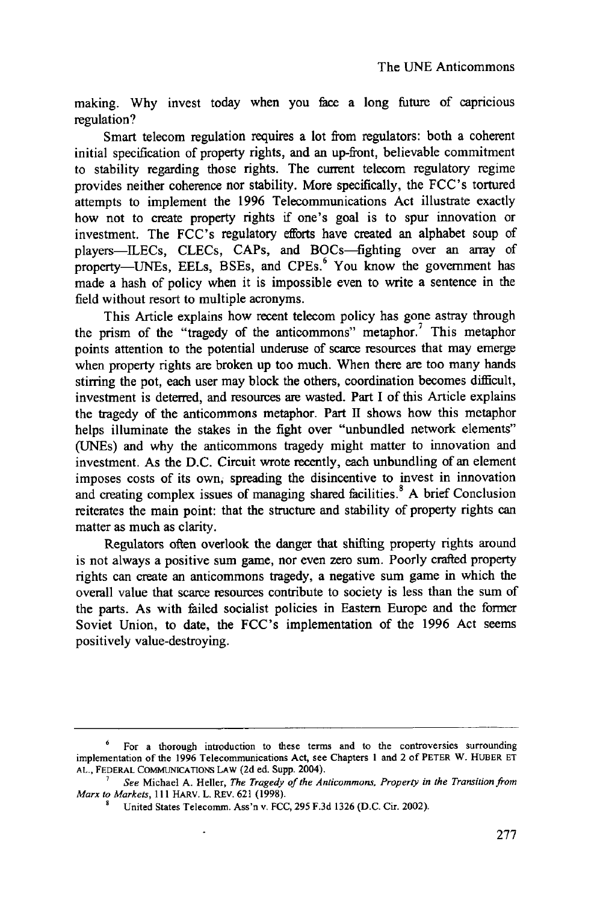making. Why invest today when you face a long future of capricious regulation?

Smart telecom regulation requires a lot from regulators: both a coherent initial specification of property rights, and an up-front, believable commitment to stability regarding those rights. The current telecom regulatory regime provides neither coherence nor stability. More specifically, the FCC's tortured attempts to implement the 1996 Telecommunications Act illustrate exactly how not to create property rights if one's goal is to spur innovation or investment. The FCC's regulatory efforts have created an alphabet soup of players-ILECs, CLECs, CAPs, and BOCs-fighting over an array of property-UNEs, EELs, BSEs, and CPEs.<sup>6</sup> You know the government has made a hash of policy when it is impossible even to **write** a sentence in the field without resort to multiple acronyms.

This Article explains how recent telecom policy has gone astray through the prism of the "tragedy of the anticommons" metaphor.' This metaphor points attention to the potential underuse of scarce resources that may emerge when property rights are broken up too much. When there are too many hands stirring the pot, each user may block the others, coordination becomes difficult, investment is deterred, and resources are wasted. Part I of this Article explains the tragedy of the anticommons metaphor. Part II shows how this metaphor helps illuminate the stakes in the fight over "unbundled network elements" (UNEs) and why the anticommons tragedy might matter to innovation and investment. As the D.C. Circuit wrote recently, each unbundling of an element imposes costs of its own, spreading the disincentive to invest in innovation and creating complex issues of managing shared facilities.<sup>8</sup> A brief Conclusion reiterates the main point: that the structure and stability of property rights can matter as much as clarity.

Regulators often overlook the danger that shifting property rights around is not always a positive sum game, nor even zero sum. Poorly crafted property rights can create an anticommons tragedy, a negative sum game in which the overall value that scarce resources contribute to society is less than the sum of the parts. As with failed socialist policies in Eastern Europe and the former Soviet Union, to date, the FCC's implementation of the 1996 Act seems positively value-destroying.

For a thorough introduction to these terms and to the controversies surrounding implementation of the **1996** Telecommunications Act, see Chapters **I** and 2 of PETER **W.** HUBER **ET AL.,** FEDERAL **COMMUNICATIONS** LAW (2d ed. Supp. 2004).

*<sup>7</sup>See* Michael A. Heller, *The Tragedy of the Anticommons, Property in the Transition from Marx to Markets,* 111 HARV. L. REV. 621 (1998).

**<sup>9</sup>** United States Telecomm. Ass'n v. FCC, 295 F.3d 1326 (D.C. Cir. 2002).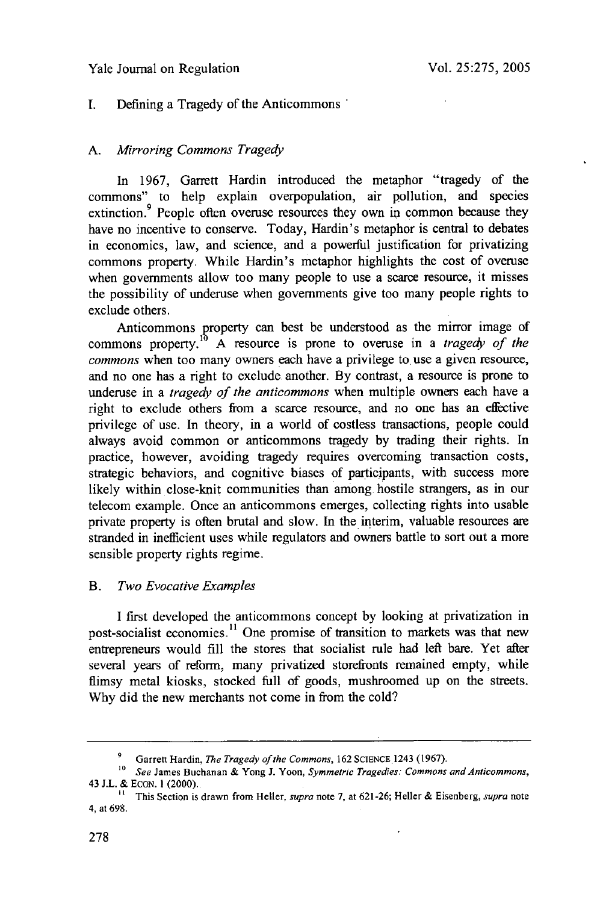## Yale Journal on Regulation

## I. Defining a Tragedy of the Anticommons

## *A. Mirroring Commons Tragedy*

In 1967, Garrett Hardin introduced the metaphor "tragedy of the commons" to help explain overpopulation, air pollution, and species extinction.<sup>9</sup> People often overuse resources they own in common because they have no incentive to conserve. Today, Hardin's metaphor is central to debates in economics, law, and science, and a powerful justification for privatizing commons property. While Hardin's metaphor highlights the cost of overuse when governments allow too many people to use a scarce resource, it misses the possibility of underuse when governments give too many people rights to exclude others.

Anticommons property can best be understood as the mirror image of commons property. **A** resource is prone to overuse in a *tragedy of the commons* when too many owners each have a privilege to use a given resource, and no one has a right to exclude another. By contrast, a resource is prone to underuse in a *tragedy of the anticommons* when multiple owners each have a right to exclude others from a scarce resource, and no one has an effective privilege of use. In theory, in a world of costless transactions, people could always avoid common or anticommons tragedy by trading their rights. In practice, however, avoiding tragedy requires overcoming transaction costs, strategic behaviors, and cognitive biases of participants, with success more likely within close-knit communities than among hostile strangers, as in our telecom example. Once an anticommons emerges, collecting rights into usable private property is often brutal and slow. In the interim, valuable resources are stranded in inefficient uses while regulators and owners battle to sort out a more sensible property rights regime.

#### B. *Two Evocative Examples*

I first developed the anticommons concept by looking at privatization in post-socialist economies.<sup>11</sup> One promise of transition to markets was that new entrepreneurs would fill the stores that socialist rule had left bare. Yet after several years of reform, many privatized storefronts remained empty, while flimsy metal kiosks, stocked full of goods, mushroomed up on the streets. Why did the new merchants not come in from the cold?

Garrett Hardin, *The Tragedy of the Commons*, 162 SCIENCE<sub>.</sub>1243 (1967).

*<sup>10</sup> See* James Buchanan & Yong J. Yoon, *Symmetric Tragedies: Commons and Anticommons,* 43 J.L. & ECON. **1** (2000).

**<sup>&</sup>quot;** This Section is drawn from Heller, *supro* note 7, at 621-26; Heller & Eisenberg, *supra* note 4, at 698.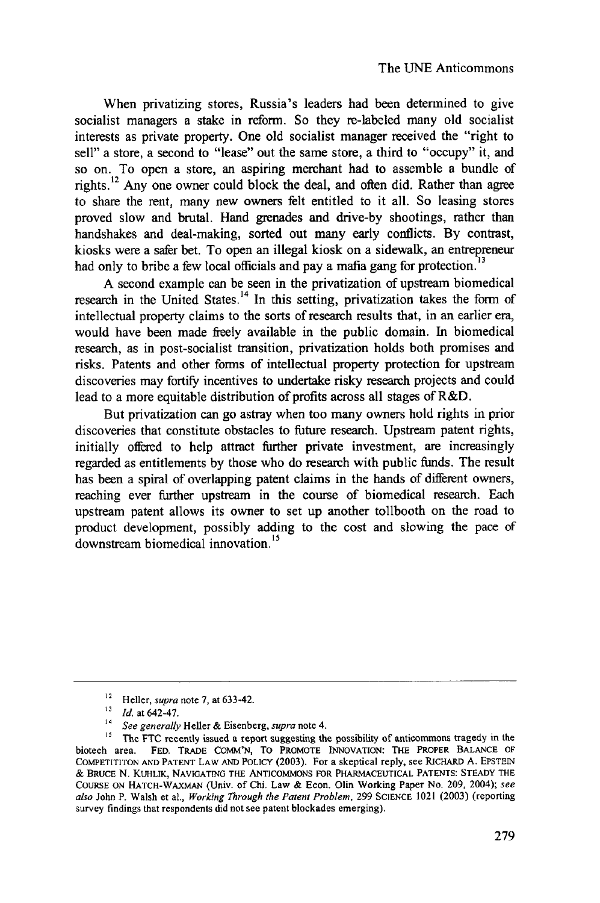When privatizing stores, Russia's leaders had been determined to give socialist managers a stake in reform. So they re-labeled many old socialist interests as private property. One old socialist manager received the "right to sell" a store, a second to "lease" out the same store, a third to "occupy" it, and so on. To open a store, an aspiring merchant had to assemble a bundle of rights.<sup>12</sup> Any one owner could block the deal, and often did. Rather than agree to share the rent, many new owners felt entitled to it all. So leasing stores proved slow and brutal. Hand grenades and drive-by shootings, rather than handshakes and deal-making, sorted out many early conflicts. By contrast, kiosks were a safer bet. To open an illegal kiosk on a sidewalk, an entrepreneur had only to bribe a few local officials and pay a mafia gang for protection.<sup>1</sup>

A second example can be seen in the privatization of upstream biomedical research in the United States.<sup>14</sup> In this setting, privatization takes the form of intellectual property claims to the sorts of research results that, in an earlier era, would have been made freely available in the public domain. In biomedical research, as in post-socialist transition, privatization holds both promises and risks. Patents and other forms of intellectual property protection for upstream discoveries may fortify incentives to undertake risky research projects and could lead to a more equitable distribution of profits across all stages of R&D.

But privatization can go astray when too many owners hold rights in prior discoveries that constitute obstacles to future research. Upstream patent rights, initially offered to help attract further private investment, are increasingly regarded as entitlements by those who do research with public funds. The result has been a spiral of overlapping patent claims in the hands of different owners, reaching ever further upstream in the course of biomedical research. Each upstream patent allows its owner to set up another tollbooth on the road to product development, possibly adding to the cost and slowing the pace of downstream biomedical innovation.'5

 $12 \text{ H}$ 

<sup>&</sup>lt;sup>13</sup> *Id.* at 642-47.

*<sup>14</sup>* See generally Heller **&** Eisenberg, supra note 4.

<sup>&</sup>lt;sup>15</sup> The FTC recently issued a report suggesting the possibility of anticommons tragedy in the biotech area. FED. TRADE COMM'N, To PROMOTE INNOVATION: THE PROPER BALANCE OF COMPETITITON AND PATENT LAW **AND** POLICY (2003). For a skeptical reply, see RICHARD A. EPSTEIN & BRUCE N. KUHLIK, NAVIGATING THE ANTICOMMONS FOR PHARMACEUTICAL PATENTS: STEADY THE COURSE ON HATCH-WAXMAN (Univ. of Chi. Law & Econ. Olin Working Paper No. 209, 2004); **see** also John P. Walsh et al., Working *Through* the Patent Problem, 299 SCIENCE 1021 (2003) (reporting survey findings that respondents did not see patent blockades emerging).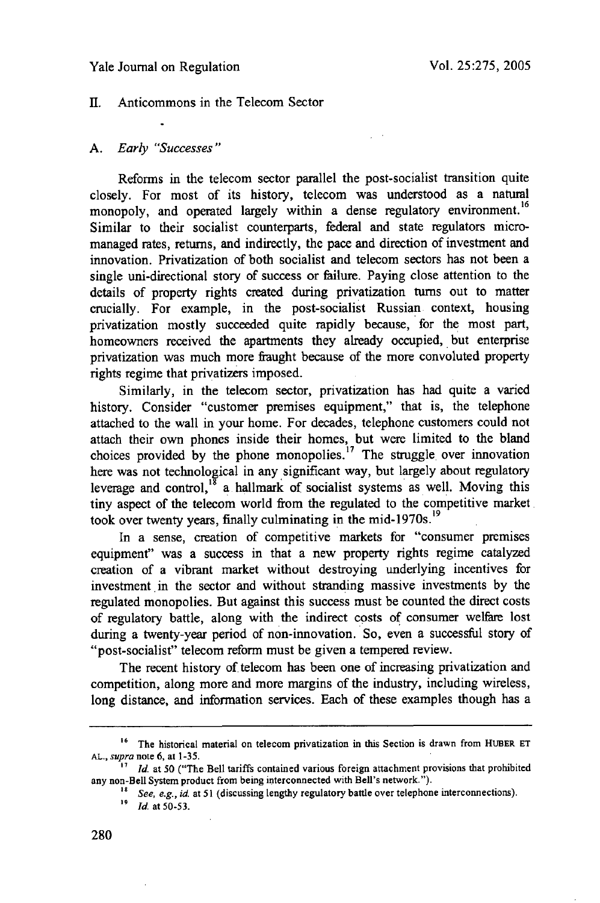#### Yale Journal on Regulation

## II. Anticommons in the Telecom Sector

#### *A.* Early "Successes"

Reforms in the telecom sector parallel the post-socialist transition quite closely. For most of its history, telecom was understood as a natural monopoly, and operated largely within a dense regulatory environment.<sup>16</sup> Similar to their socialist counterparts, federal and state regulators micromanaged rates, returns, and indirectly, the pace and direction of investment and innovation. Privatization of both socialist and telecom sectors has not been a single uni-directional story of success or failure. Paying close attention to the details of property rights created during privatization turns out to matter crucially. For example, in the post-socialist Russian context, housing privatization mostly succeeded quite rapidly because, for the most part, homeowners received the apartments they already occupied, but enterprise privatization was much more fraught because of the more convoluted property rights regime that privatizers imposed.

Similarly, in the telecom sector, privatization has had quite a varied history. Consider "customer premises equipment," that is, the telephone attached to the wall in your home. For decades, telephone customers could not attach their own phones inside their homes, but were limited to the bland choices provided by the phone monopolies.<sup>17</sup> The struggle over innovation here was not technological in any significant way, but largely about regulatory leverage and control,<sup>18</sup> a hallmark of socialist systems as well. Moving this tiny aspect of the telecom world from the regulated to the competitive market took over twenty years, finally culminating in the mid-1970s.<sup>19</sup>

In a sense, creation of competitive markets for "consumer premises equipment" was a success in that a new property rights regime catalyzed creation of a vibrant market without destroying underlying incentives for investment in the sector and without stranding massive investments by the regulated monopolies. But against this success must be counted the direct costs of regulatory battle, along with the indirect costs of consumer welfare lost during a twenty-year period of non-innovation. So, even a successful story of "post-socialist" telecom reform must be given a tempered review.

The recent history of telecom has been one of increasing privatization and competition, along more and more margins of the industry, including wireless, long distance, and information services. Each of these examples though has a

**<sup>16</sup>** The historical material on telecom privatization in this Section is drawn from HUBER **ET** *AL., supra* note 6, at 1-35.

*<sup>&</sup>quot;7 Id.* at **50** ("The Bell tariffs contained various foreign attachment provisions that prohibited any non-Bell System product from being interconnected with Bell's network.").

**<sup>18</sup>** *See, e.g., id.* at **51** (discussing lengthy regulatory battle over telephone interconnections).

*<sup>19</sup> Id.* at 50-53.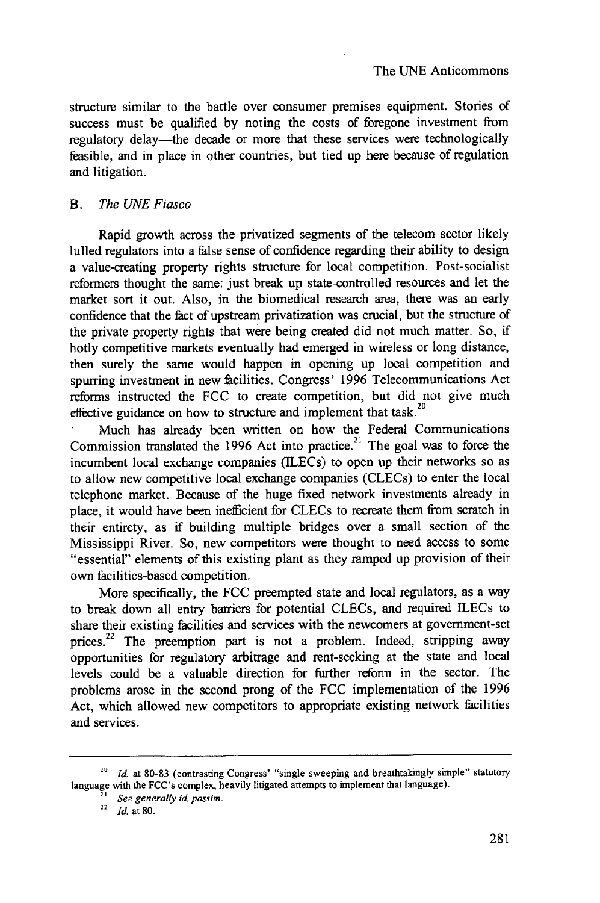structure similar to the battle over consumer premises equipment. Stories of success must be qualified by noting the costs of foregone investment from regulatory delay-the decade or more that these services were technologically feasible, and in place in other countries, but tied up here because of regulation and litigation.

## *B. The UNE Fiasco*

Rapid growth across the privatized segments of the telecom sector likely lulled regulators into a false sense of confidence regarding their ability to design a value-creating property rights structure for local competition. Post-socialist reformers thought the same: just break up state-controlled resources and let the market sort it out. Also, in the biomedical research area, there was an early confidence that the fact of upstream privatization was crucial, but the structure of the private property rights that were being created did not much matter. So, if hotly competitive markets eventually had emerged in wireless or long distance, then surely the same would happen in opening up local competition and spurring investment in new facilities. Congress' 1996 Telecommunications Act reforms instructed the FCC to create competition, but did not give much effective guidance on how to structure and implement that task.<sup>20</sup>

Much has already been written on how the Federal Communications Commission translated the 1996 Act into practice.<sup>21</sup> The goal was to force the incumbent local exchange companies (ILECs) to open up their networks so as to allow new competitive local exchange companies (CLECs) to enter the local telephone market. Because of the huge fixed network investments already in place, it would have been inefficient for CLECs to recreate them from scratch in their entirety, as if building multiple bridges over a small section of the Mississippi River. So, new competitors were thought to need access to some "essential" elements of this existing plant as they ramped up provision of their own facilities-based competition.

More specifically, the FCC preempted state and local regulators, as a way to break down all entry barriers for potential CLECs, and required ILECs to share their existing facilities and services with the newcomers at government-set prices.<sup>22</sup> The preemption part is not a problem. Indeed, stripping away opportunities for regulatory arbitrage and rent-seeking at the state and local levels could be a valuable direction for further reform in the sector. The problems arose in the second prong of the FCC implementation of the 1996 Act, which allowed new competitors to appropriate existing network facilities and services.

<sup>&</sup>lt;sup>20</sup> *Id.* at 80-83 (contrasting Congress' "single sweeping and breathtakingly simple" statutory language with the FCC's complex, heavily litigated attempts to implement that language).

 $\frac{\bar{z}_1}{z_2}$  See generally id. passim.<br><sup>22</sup> *Id.* at 80.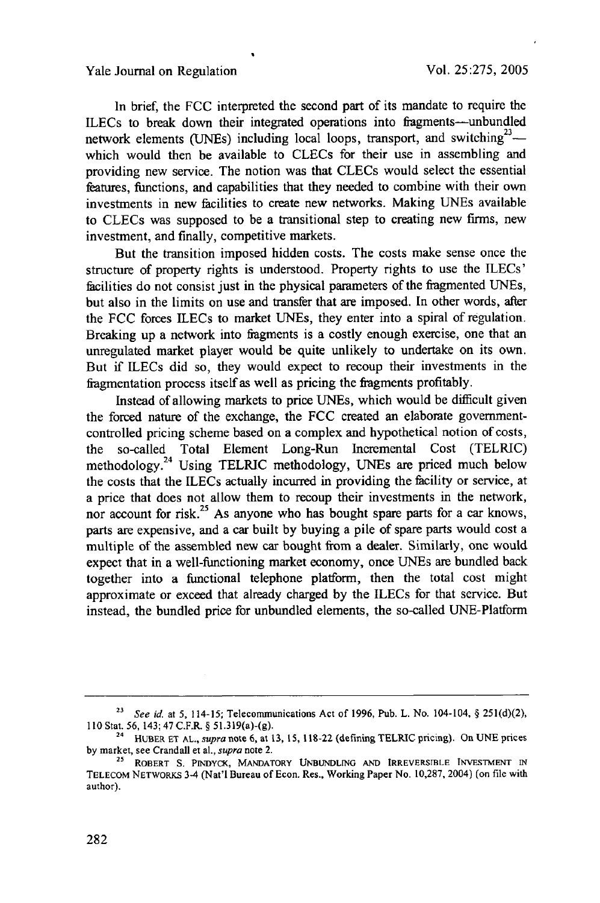In brief, the FCC interpreted the second part of its mandate to require the ILECs to break down their integrated operations into fragments-unbundled network elements (UNEs) including local loops, transport, and switching<sup>23</sup> $$ which would then be available to CLECs for their use in assembling and providing new service. The notion was that CLECs would select the essential features, functions, and capabilities that they needed to combine with their own investments in new facilities to create new networks. Making UNEs available to CLECs was supposed to be a transitional step to creating new firms, new investment, and finally, competitive markets.

But the transition imposed hidden costs. The costs make sense once the structure of property rights is understood. Property rights to use the ILECs' facilities do not consist just in the physical parameters of the fragmented UNEs, but also in the limits on use and transfer that are imposed. In other words, after the FCC forces ILECs to market UNEs, they enter into a spiral of regulation. Breaking up a network into fragments is a costly enough exercise, one that an unregulated market player would be quite unlikely to undertake on its own. But if ILECs did so, they would expect to recoup their investments in the iagmentation process itself as well as pricing the fragments profitably.

Instead of allowing markets to price UNEs, which would be difficult given the forced nature of the exchange, the FCC created an elaborate governmentcontrolled pricing scheme based on a complex and hypothetical notion of costs, the so-called Total Element Long-Run Incremental Cost (TELRIC) methodology.<sup>24</sup> Using TELRIC methodology, UNEs are priced much below the costs that the ILECs actually incurred in providing the facility or service, at a price that does not allow them to recoup their investments in the network, nor account for risk.<sup>25</sup> As anyone who has bought spare parts for a car knows, parts are expensive, and a car built by buying a pile of spare parts would cost a multiple of the assembled new car bought from a dealer. Similarly, one would expect that in a well-functioning market economy, once UNEs are bundled back together into a functional telephone platform, then the total cost might approximate or exceed that already charged by the ILECs for that service. But instead, the bundled price for unbundled elements, the so-called UNE-Platform

**<sup>23</sup>** See *id.* at 5, 114-15; Telecommunications Act of 1996, Pub. L. No. 104-104, § 251(d)(2), 110 Stat. 56, 143; 47 C.F.R. § 51.319(a)-(g).

**<sup>24</sup>**HUBER ET **AL.,** supra note **6,** at **13, 15,** 118-22 (defining TELRIC pricing). On UNE prices by market, see Crandall et al., supra note 2.

**<sup>25</sup>** ROBERT S. PINDYCK, MANDATORY **UNBUNDLING AND** IRREVERSTBLE **INVESTMENT** IN TELECOM NETWORKS 3-4 (Nat'l Bureau of Econ. Res., Working Paper No. 10,287, 2004) (on file with author).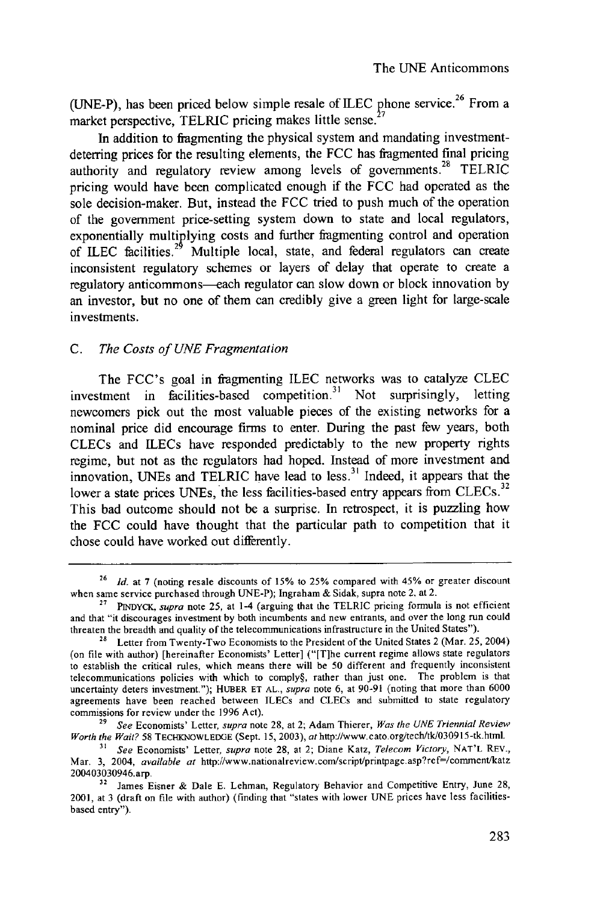(UNE-P), has been priced below simple resale of ILEC phone service.<sup>26</sup> From a market perspective, TELRIC pricing makes little sense.

In addition to fragmenting the physical system and mandating investmentdeterring prices for the resulting elements, the FCC has fragmented final pricing authority and regulatory review among levels of governments.<sup>28</sup> TELRIC pricing would have been complicated enough if the FCC had operated as the sole decision-maker. But, instead the FCC tried to push much of the operation of the government price-setting system down to state and local regulators, exponentially multiplying costs and further fragmenting control and operation of ILEC facilities.<sup>29</sup> Multiple local, state, and federal regulators can create inconsistent regulatory schemes or layers of delay that operate to create a regulatory anticommons—each regulator can slow down or block innovation by an investor, but no one of them can credibly give a green light for large-scale investments.

## *C. The Costs of UNE Fragmentation*

The FCC's goal in fragmenting ILEC networks was to catalyze CLEC investment in facilities-based competition.<sup>31</sup> Not surprisingly, letting newcomers pick out the most valuable pieces of the existing networks for a nominal price did encourage firms to enter. During the past few years, both CLECs and ILECs have responded predictably to the new property rights regime, but not as the regulators had hoped. Instead of more investment and innovation, UNEs and TELRIC have lead to less.<sup>31</sup> Indeed, it appears that the lower a state prices UNEs, the less facilities-based entry appears from CLECs.<sup>32</sup> This bad outcome should not be a surprise. In retrospect, it is puzzling how the FCC could have thought that the particular path to competition that it chose could have worked out differently.

**<sup>26</sup>** *Id.* at 7 (noting resale discounts of 15% to 25% compared with 45% or greater discount when same service purchased through UNE-P); Ingraham & Sidak, supra note 2, at 2.

**<sup>27</sup>** PINDYCK, supra note 25, at 1-4 (arguing that the TELRIC pricing formula is not efficient and that "it discourages investment by both incumbents and new entrants, and over the long run could threaten the breadth and quality of the telecommunications infrastructure in the United States").

<sup>&</sup>lt;sup>28</sup> Letter from Twenty-Two Economists to the President of the United States 2 (Mar. 25, 2004) (on file with author) [hereinafter Economists' Letter] ("[T]he current regime allows state regulators to establish the critical rules, which means there will be 50 different and frequently inconsistent telecommunications policies with which to comply§, rather than just one. The problem is that uncertainty deters investment."); HUBER ET AL., *supra* note 6, at 90-91 (noting that more than 6000 agreements have been reached between ILECs and CLECs and submitted to state regulatory commissions for review under the 1996 Act).

*<sup>29</sup> See* Economists' Letter, *supra* note 28, at 2; Adam Thierer, *Was the UNE Triennial Review Worth the Wait?* 58 TECIAKNOWLEDGE (Sept. 15, 2003), athttp://www.cato.org/tech/tk/030915-tk.html.

*<sup>31</sup> See* Economists' Letter, *supra* note 28, at 2; Diane Katz, *Telecom Victory,* NAT'L REV., Mar. 3, 2004, *available at http://www.nationalreview.com/script/printpage.asp?ref=/comment/katz* 200403030946.arp. **<sup>32</sup>**James Eisner & Dale E. Lehman, Regulatory Behavior and Competitive Entry, June 28,

<sup>2001,</sup> at 3 (draft on file with author) (finding that "states with lower **UNE** prices have less facilitiesbased entry").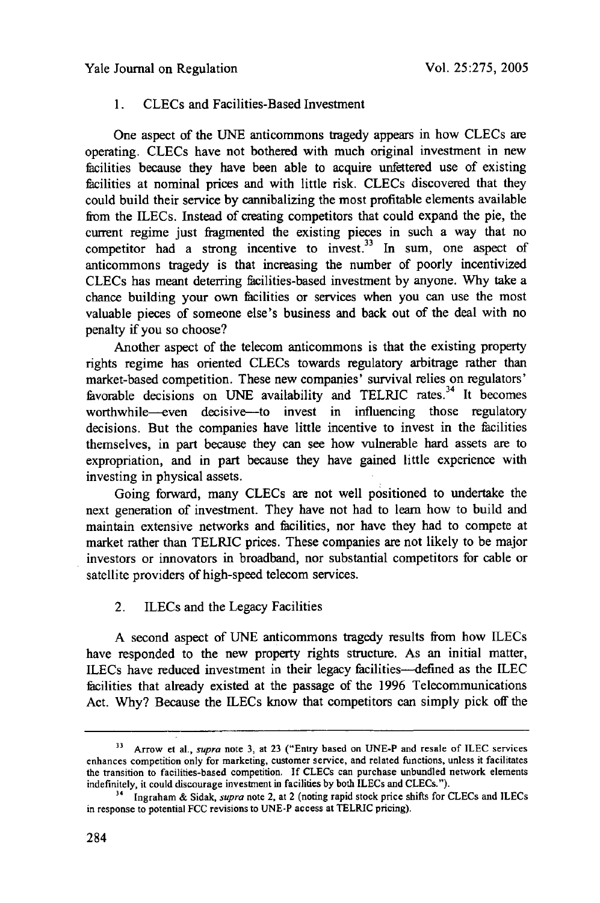## **1.** CLECs and Facilities-Based Investment

One aspect of the UNE anticommons tragedy appears in how CLECs **are** operating. CLECs have not bothered with much original investment in new facilities because they have been able to acquire unfettered use of existing facilities at nominal prices and with little risk. CLECs discovered that they could build their service by cannibalizing the most profitable elements available from the ILECs. Instead of creating competitors that could expand the pie, the current regime just fragmented the existing pieces in such a way that no competitor had a strong incentive to invest.<sup>33</sup> In sum, one aspect of anticommons tragedy is that increasing the number of poorly incentivized CLECs has meant deterring facilities-based investment by anyone. Why take a chance building your own facilities or services when you can use the most valuable pieces of someone else's business and back out of the deal with no penalty if you so choose?

Another aspect of the telecom anticommons is that the existing property rights regime has oriented CLECs towards regulatory arbitrage rather than market-based competition. These new companies' survival relies on regulators' favorable decisions on UNE availability and TELRIC rates.<sup>34</sup> It becomes worthwhile--even decisive--to invest in influencing those regulatory decisions. But the companies have little incentive to invest in the facilities themselves, in part because they can see how vulnerable hard assets are to expropriation, and in part because they have gained little experience with investing in physical assets.

Going forward, many CLECs are not well positioned to undertake the next generation of investment. They have not had to learn how to build and maintain extensive networks and facilities, nor have they had to compete at market rather than TELRIC prices. These companies are not likely to be major investors or innovators in broadband, nor substantial competitors for cable or satellite providers of high-speed telecom services.

## 2. ILECs and the Legacy Facilities

A second aspect of UNE anticommons tragedy results from how ILECs have responded to the new property rights structure. As an initial matter, ILECs have reduced investment in their legacy facilities--defined as the ILEC facilities that already existed at the passage of the 1996 Telecommunications Act. Why? Because the ILECs know that competitors can simply pick off the

**<sup>33</sup>** Arrow et al., *supra* note 3, at **23** ("Entry based on UNE-P and resale of ILEC services enhances competition only for marketing, customer service, and related functions, unless it facilitates the transition to facilities-based competition. If CLECs can purchase unbundled network elements indefinitely, it could discourage investment in facilities by both ILECs and CLECs.").<br><sup>34</sup> Ingraham & Sidak, *supra* note 2, at 2 (noting rapid stock price shifts for CLECs and ILECs

in response to potential FCC revisions to UNE-P access at TELRIC pricing).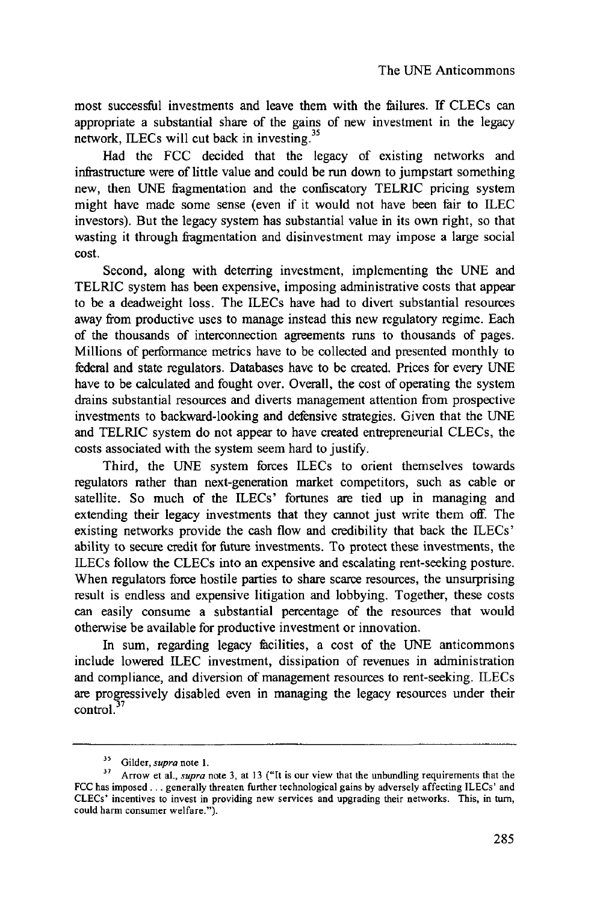most successful investments and leave them with the failures. If CLECs can appropriate a substantial share of the gains of new investment in the legacy network, ILECs will cut back in investing.<sup>35</sup>

Had the FCC decided that the legacy of existing networks and infrastructure were of little value and could be run down to jumpstart something new, then UNE fragmentation and the confiscatory TELRIC pricing system might have made some sense (even if it would not have been fair to ILEC investors). But the legacy system has substantial value in its own right, so that wasting it through fragmentation and disinvestment may impose a large social cost.

Second, along with deterring investment, implementing the UNE and TELRIC system has been expensive, imposing administrative costs that appear to be a deadweight loss. The ILECs have had to divert substantial resources away from productive uses to manage instead this new regulatory regime. Each of the thousands of interconnection agreements runs to thousands of pages. Millions of performance metrics have to be collected and presented monthly to federal and state regulators. Databases have to be created. Prices for every UNE have to be calculated and fought over. Overall, the cost of operating the system drains substantial resources and diverts management attention from prospective investments to backward-looking and defensive strategies. Given that the UNE and TELRIC system do not appear to have created entrepreneurial CLECs, the costs associated with the system seem hard to justify.

Third, the UNE system forces ILECs to orient themselves towards regulators rather than next-generation market competitors, such as cable or satellite. So much of the ILECs' fortunes are tied up in managing and extending their legacy investments that they cannot just write them off. The existing networks provide the cash flow and credibility that back the ILECs' ability to secure credit for future investments. To protect these investments, the ILECs follow the CLECs into an expensive and escalating rent-seeking posture. When regulators force hostile parties to share scarce resources, the unsurprising result is endless and expensive litigation and lobbying. Together, these costs can easily consume a substantial percentage of the resources that would otherwise be available for productive investment or innovation.

In sum, regarding legacy facilities, a cost of the UNE anticommons include lowered ILEC investment, dissipation of revenues in administration and compliance, and diversion of management resources to rent-seeking. ILECs are progressively disabled even in managing the legacy resources under their  $control$ .

**<sup>35</sup>**Gilder, *supra* note **1.**

**<sup>37</sup>**Arrow et al., *supra* note **3,** at **13** ("It is our view that the unbundling requirements that the FCC has imposed **...** generally threaten further technological gains **by** adversely affecting ILECs' and CLECs' incentives to invest in providing new services and upgrading their networks. This, in turn, could harm consumer welfare.").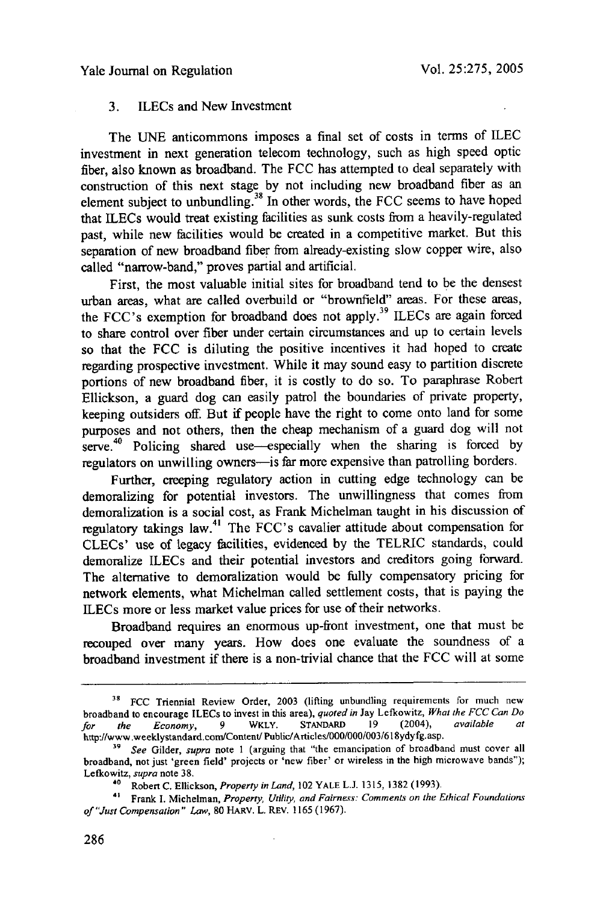#### Yale Journal on Regulation

#### 3. ILECs and New Investment

The UNE anticommons imposes a final set of costs in terms of ILEC investment in next generation telecom technology, such as high speed optic fiber, also known as broadband. The FCC has attempted to deal separately with construction of this next stage **by** not including new broadband fiber as an element subject to unbundling.38 In other words, the FCC seems to have hoped that ILECs would treat existing facilities as sunk costs from a heavily-regulated past, while new facilities would be created in a competitive market. But this separation of new broadband fiber from already-existing slow copper wire, also called "narrow-band," proves partial and artificial.

First, the most valuable initial sites for broadband tend to be the densest urban areas, what are called overbuild or "brownfield" areas. For these areas, the FCC's exemption for broadband does not apply.<sup>39</sup> ILECs are again forced to share control over fiber under certain circumstances and up to certain levels so that the FCC is diluting the positive incentives it had hoped to create regarding prospective investment. While it may sound easy to partition discrete portions of new broadband fiber, it is costly to do so. To paraphrase Robert Ellickson, a guard dog can easily patrol the boundaries of private property, keeping outsiders off. But if people have the right to come onto land for some purposes and not others, then the cheap mechanism of a guard dog will not serve.<sup>40</sup> Policing shared use—especially when the sharing is forced by regulators on unwilling owners—is far more expensive than patrolling borders.

Further, creeping regulatory action in cutting edge technology can be demoralizing for potential investors. The unwillingness that comes from demoralization is a social cost, as Frank Michelman taught in his discussion of regulatory takings law.<sup>41</sup> The FCC's cavalier attitude about compensation for CLECs' use of legacy facilities, evidenced by the TELRIC standards, could demoralize ILECs and their potential investors and creditors going forward. The alternative to demoralization would be fully compensatory pricing for network elements, what Michelman called settlement costs, that is paying the ILECs more or less market value prices for use of their networks.

Broadband requires an enormous up-front investment, one that must be recouped over many years. How does one evaluate the soundness of a broadband investment if there is a non-trivial chance that the FCC will at some

<sup>&</sup>lt;sup>38</sup> FCC Triennial Review Order, 2003 (lifting unbundling requirements for much new broadband to encourage ILECs to invest in this area), *quoted in* Jay Lefkowitz, *What the FCC Can Do for the* Economy, 9 **WKLY. STANDARD 19** (2004), *available at* http://www.weeklystandard.com/Content Pubtic/Articles/000/000/003/618ydyfg. asp.

**<sup>39</sup>***See* Gilder, *supra* note **1** (arguing that "the emancipation of broadband must cover all broadband, not just 'green field' projects or 'new fiber' or wireless in the high microwave bands"); Lefkowitz, *supra* note 38.<br><sup>40</sup> Robert C. Ellickson, *Property in Land*, 102 YALE L.J. 1315, 1382 (1993).

**<sup>4&#</sup>x27;** Frank I. Michelman, *Property, Utility, and Fairness: Comments on the Ethical Foundations of"Just Compensation" Law,* 80 HARv. L. REv. 1165 (1967).